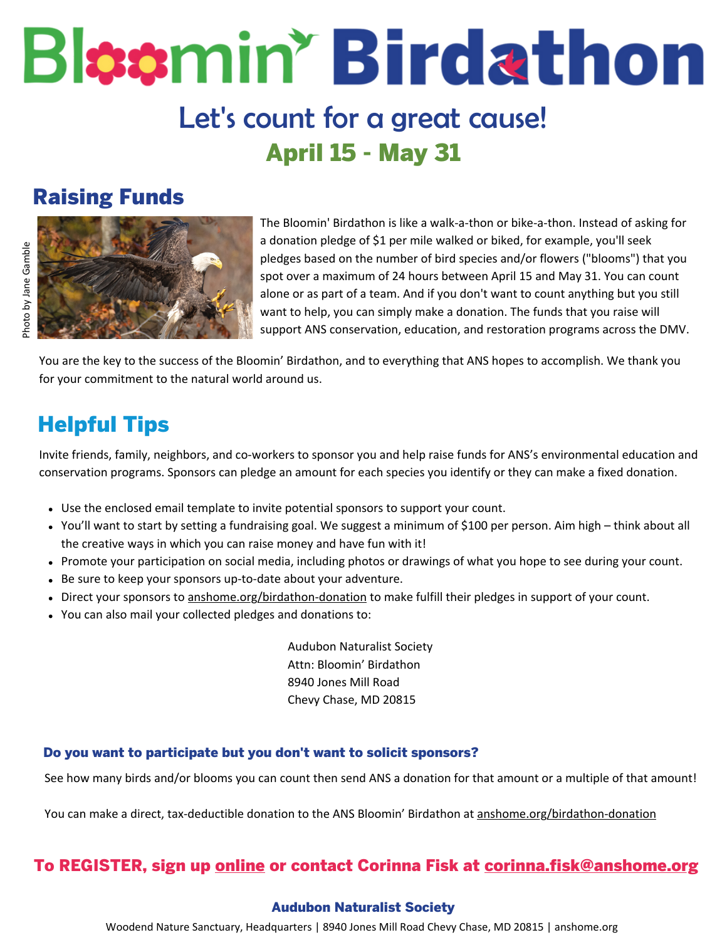# Bloomin' Birdathon Let's count for a great cause! April 15 - May 31

## Raising Funds



The Bloomin' Birdathon is like a walk-a-thon or bike-a-thon. Instead of asking for a donation pledge of \$1 per mile walked or biked, for example, you'll seek pledges based on the number of bird species and/or flowers ("blooms") that you spot over a maximum of 24 hours between April 15 and May 31. You can count alone or as part of a team. And if you don't want to count anything but you still want to help, you can simply make a donation. The funds that you raise will support ANS conservation, education, and restoration programs across the DMV.

You are the key to the success of the Bloomin' Birdathon, and to everything that ANS hopes to accomplish. We thank you for your commitment to the natural world around us.

# Helpful Tips

Invite friends, family, neighbors, and co-workers to sponsor you and help raise funds for ANS's environmental education and conservation programs. Sponsors can pledge an amount for each species you identify or they can make a fixed donation.

- Use the enclosed email template to invite potential sponsors to support your count.
- You'll want to start by setting a fundraising goal. We suggest a minimum of \$100 per person. Aim high think about all the creative ways in which you can raise money and have fun with it!
- Promote your participation on social media, including photos or drawings of what you hope to see during your count.
- Be sure to keep your sponsors up-to-date about your adventure.
- Direct your sponsors to [anshome.org/birdathon-donation](https://anshome.org/birdathon-donation) to make fulfill their pledges in support of your count.
- You can also mail your collected pledges and donations to:

Audubon Naturalist Society Attn: Bloomin' Birdathon 8940 Jones Mill Road Chevy Chase, MD 20815

### Do you want to participate but you don't want to solicit sponsors?

See how many birds and/or blooms you can count then send ANS a donation for that amount or a multiple of that amount!

You can make a direct, tax-deductible donation to the ANS Bloomin' Birdathon at [anshome.org/birdathon-donation](https://anshome.org/birdathon-donation)

### To REGISTER, sign up <u>[online](https://anshome.org/birdathon-register)</u> or contact Corinna Fisk at <u>corinna.fisk@anshome.org</u>

### Audubon Naturalist Society

Woodend Nature Sanctuary, Headquarters | 8940 Jones Mill Road Chevy Chase, MD 20815 | anshome.org